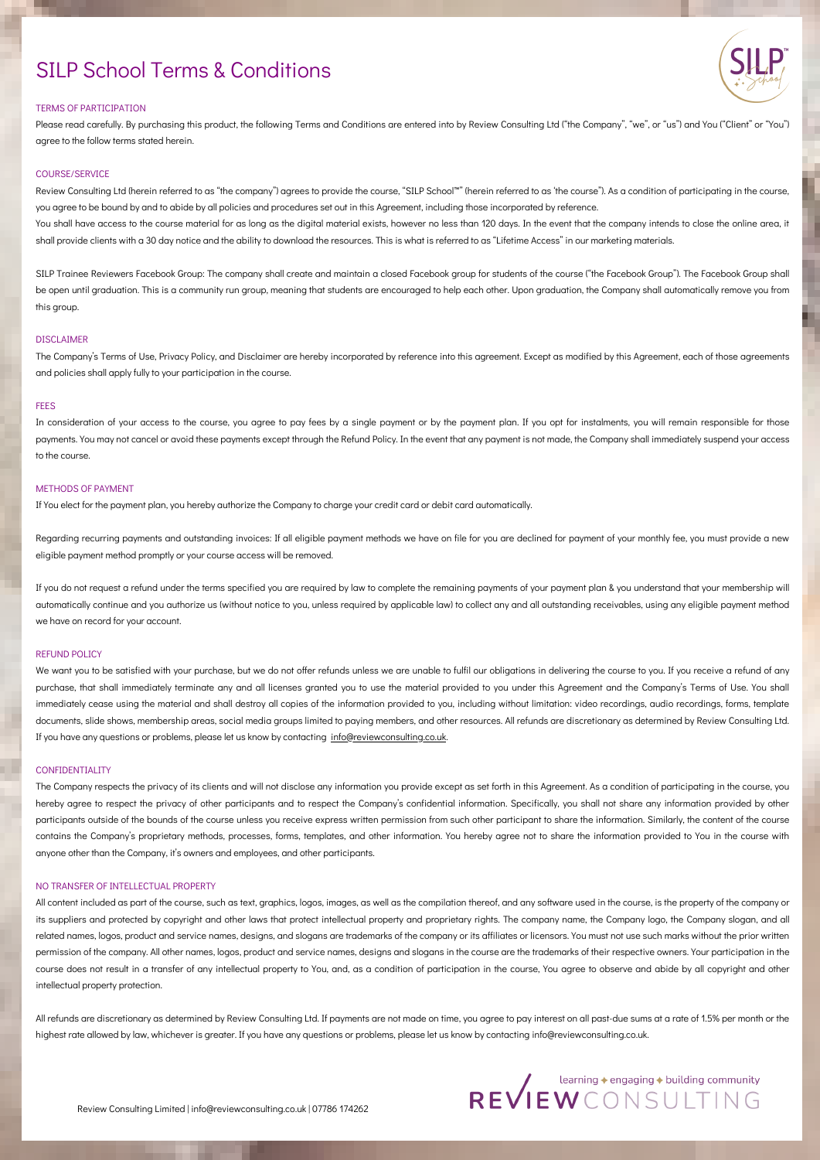# TERMS OF PARTICIPATION

Please read carefully. By purchasing this product, the following Terms and Conditions are entered into by Review Consulting Ltd ("the Company", "we", or "us") and You ("Client" or "You") agree to the follow terms stated herein.

# COURSE/SERVICE

Review Consulting Ltd (herein referred to as "the company") agrees to provide the course, "SILP School™" (herein referred to as 'the course"). As a condition of participating in the course, you agree to be bound by and to abide by all policies and procedures set out in this Agreement, including those incorporated by reference.

You shall have access to the course material for as long as the digital material exists, however no less than 120 days. In the event that the company intends to close the online area, it shall provide clients with a 30 day notice and the ability to download the resources. This is what is referred to as "Lifetime Access" in our marketing materials.

SILP Trainee Reviewers Facebook Group: The company shall create and maintain a closed Facebook group for students of the course ("the Facebook Group"). The Facebook Group shall be open until graduation. This is a community run group, meaning that students are encouraged to help each other. Upon graduation, the Company shall automatically remove you from this group.

Regarding recurring payments and outstanding invoices: If all eligible payment methods we have on file for you are declined for payment of your monthly fee, you must provide a new eligible payment method promptly or your course access will be removed.

# DISCLAIMER

The Company's Terms of Use, Privacy Policy, and Disclaimer are hereby incorporated by reference into this agreement. Except as modified by this Agreement, each of those agreements and policies shall apply fully to your participation in the course.

# **FEES**

In consideration of your access to the course, you agree to pay fees by a single payment or by the payment plan. If you opt for instalments, you will remain responsible for those payments. You may not cancel or avoid these payments except through the Refund Policy. In the event that any payment is not made, the Company shall immediately suspend your access to the course.

We want you to be satisfied with your purchase, but we do not offer refunds unless we are unable to fulfil our obligations in delivering the course to you. If you receive a refund of any purchase, that shall immediately terminate any and all licenses granted you to use the material provided to you under this Agreement and the Company's Terms of Use. You shall immediately cease using the material and shall destroy all copies of the information provided to you, including without limitation: video recordings, audio recordings, forms, template documents, slide shows, membership areas, social media groups limited to paying members, and other resources. All refunds are discretionary as determined by Review Consulting Ltd. If you have any questions or problems, please let us know by contacting [info@reviewconsulting.co.uk](http://reviewconsulting.co.uk/).

# METHODS OF PAYMENT

If You elect for the payment plan, you hereby authorize the Company to charge your credit card or debit card automatically.

If you do not request a refund under the terms specified you are required by law to complete the remaining payments of your payment plan & you understand that your membership will automatically continue and you authorize us (without notice to you, unless required by applicable law) to collect any and all outstanding receivables, using any eligible payment method

All content included as part of the course, such as text, graphics, logos, images, as well as the compilation thereof, and any software used in the course, is the property of the company or its suppliers and protected by copyright and other laws that protect intellectual property and proprietary rights. The company name, the Company logo, the Company slogan, and all related names, logos, product and service names, designs, and slogans are trademarks of the company or its affiliates or licensors. You must not use such marks without the prior written permission of the company. All other names, logos, product and service names, designs and slogans in the course are the trademarks of their respective owners. Your participation in the course does not result in a transfer of any intellectual property to You, and, as a condition of participation in the course, You agree to observe and abide by all copyright and other intellectual property protection.

we have on record for your account.

## REFUND POLICY

## CONFIDENTIALITY

The Company respects the privacy of its clients and will not disclose any information you provide except as set forth in this Agreement. As a condition of participating in the course, you hereby agree to respect the privacy of other participants and to respect the Company's confidential information. Specifically, you shall not share any information provided by other participants outside of the bounds of the course unless you receive express written permission from such other participant to share the information. Similarly, the content of the course contains the Company's proprietary methods, processes, forms, templates, and other information. You hereby agree not to share the information provided to You in the course with anyone other than the Company, it's owners and employees, and other participants.

# NO TRANSFER OF INTELLECTUAL PROPERTY

All refunds are discretionary as determined by Review Consulting Ltd. If payments are not made on time, you agree to pay interest on all past-due sums at a rate of 1.5% per month or the highest rate allowed by law, whichever is greater. If you have any questions or problems, please let us know by contacting info@reviewconsulting.co.uk.

REVIEWCONSULTING

# SILP School Terms & Conditions

Review Consulting Limited | info@reviewconsulting.co.uk | 07786 174262